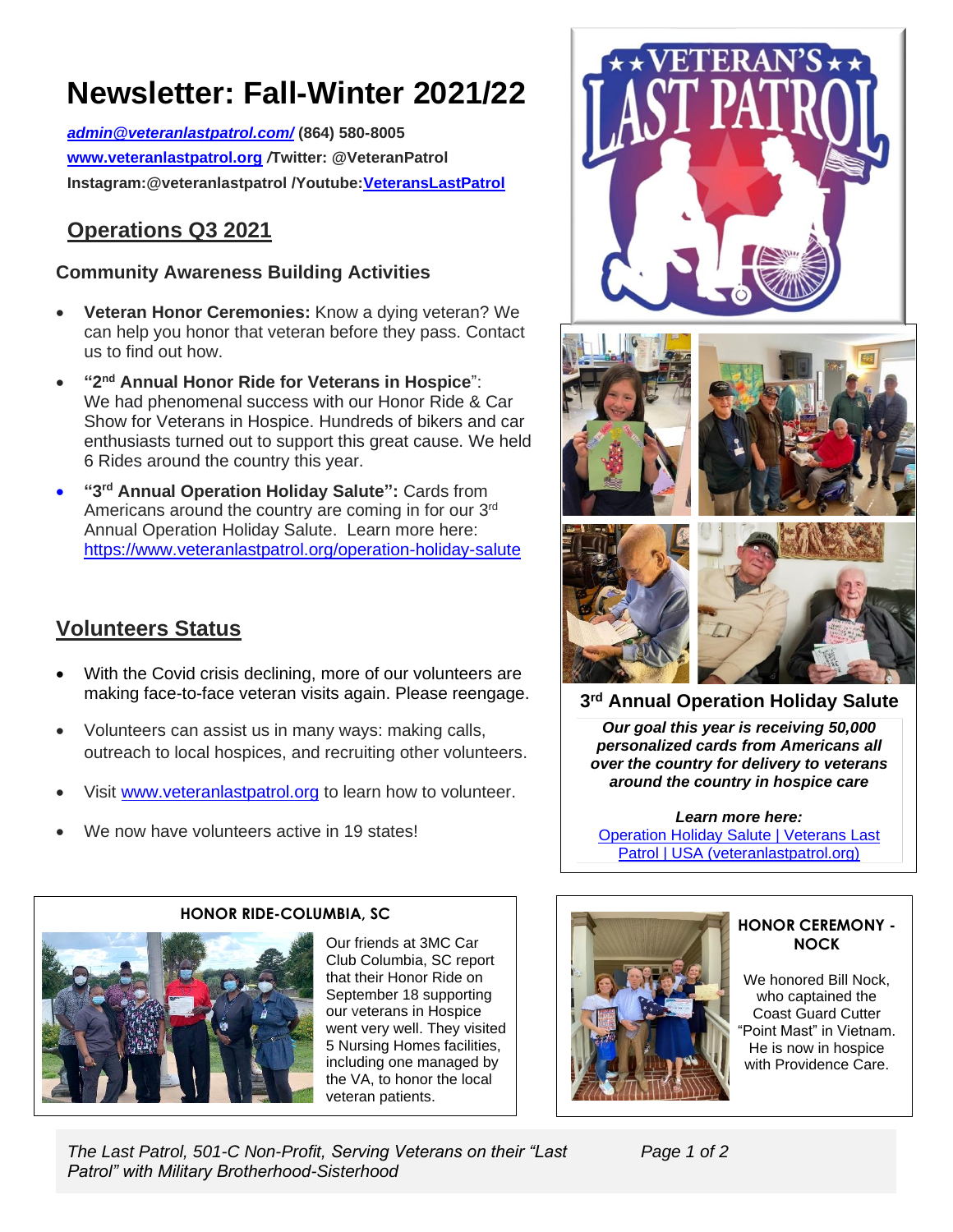# **Newsletter: Fall-Winter 2021/22**

*[admin@veteranlastpatrol.com/](mailto:admin@veteranlastpatrol.com/)* **(864) 580-8005 [www.veteranlastpatrol.org](http://www.veteranlastpatrol.org/)** */***Twitter: @VeteranPatrol Instagram:@veteranlastpatrol /Youtube[:VeteransLastPatrol](https://www.youtube.com/channel/UCBMZ2eQqqR-p3FQlPslKyYg/featured)**

### **Operations Q3 2021**

### **Community Awareness Building Activities**

- **Veteran Honor Ceremonies:** Know a dying veteran? We can help you honor that veteran before they pass. Contact us to find out how.
- **"2 nd Annual Honor Ride for Veterans in Hospice**": We had phenomenal success with our Honor Ride & Car Show for Veterans in Hospice. Hundreds of bikers and car enthusiasts turned out to support this great cause. We held 6 Rides around the country this year.
- **"3 rd Annual Operation Holiday Salute":** Cards from Americans around the country are coming in for our 3<sup>rd</sup> Annual Operation Holiday Salute. Learn more here: https://www.veteranlastpatrol.org/operation-holiday-salute

## **Volunteers Status**

- With the Covid crisis declining, more of our volunteers are making face-to-face veteran visits again. Please reengage.
- Volunteers can assist us in many ways: making calls, outreach to local hospices, and recruiting other volunteers.
- Visit [www.veteranlastpatrol.org](http://www.veteranlastpatrol.org/) to learn how to volunteer.
- We now have volunteers active in 19 states!



## **3 rd Annual Operation Holiday Salute**

*Our goal this year is receiving 50,000 personalized cards from Americans all over the country for delivery to veterans around the country in hospice care*

#### *Learn more here:* [Operation Holiday Salute | Veterans Last](https://www.veteranlastpatrol.org/operation-holiday-salute)  [Patrol | USA \(veteranlastpatrol.org\)](https://www.veteranlastpatrol.org/operation-holiday-salute)



Our friends a[t 3MC](https://www.facebook.com/3mccarclubcolumbia/?__cft__%5b0%5d=AZUhZKD1beYqHEsdz-vKb15jrbrtCu-k2Mp7Tua2rOrEN7PjgJdcTsHFM-etbwkNUnVDyW0bkoo706mhknQiyv4c7xKncfw2856LYOGQc5myZCrKtZR2nqtfipw0tiyOjbQB2oa5CiYXnRD5E7euNg_D&__tn__=kK-R) Car Club [Columbia,](https://www.facebook.com/3mccarclubcolumbia/?__cft__%5b0%5d=AZUhZKD1beYqHEsdz-vKb15jrbrtCu-k2Mp7Tua2rOrEN7PjgJdcTsHFM-etbwkNUnVDyW0bkoo706mhknQiyv4c7xKncfw2856LYOGQc5myZCrKtZR2nqtfipw0tiyOjbQB2oa5CiYXnRD5E7euNg_D&__tn__=kK-R) SC report that their Honor Ride on September 18 supporting our [veterans](https://www.facebook.com/events/1235545680180665/?__cft__%5b0%5d=AZUhZKD1beYqHEsdz-vKb15jrbrtCu-k2Mp7Tua2rOrEN7PjgJdcTsHFM-etbwkNUnVDyW0bkoo706mhknQiyv4c7xKncfw2856LYOGQc5myZCrKtZR2nqtfipw0tiyOjbQB2oa5CiYXnRD5E7euNg_D&__tn__=-UK-R) in Hospice went very well. They visited 5 Nursing Homes facilities, including one managed by the VA, to honor the local veteran patients.



#### **HONOR CEREMONY - NOCK**

We honored Bill Nock. who captained the Coast Guard Cutter "Point Mast" in Vietnam. He is now in hospice with Providence Care.

*The Last Patrol, 501-C Non-Profit, Serving Veterans on their "Last Patrol" with Military Brotherhood-Sisterhood*

*Page 1 of 2*

### **HONOR RIDE-COLUMBIA, SC**